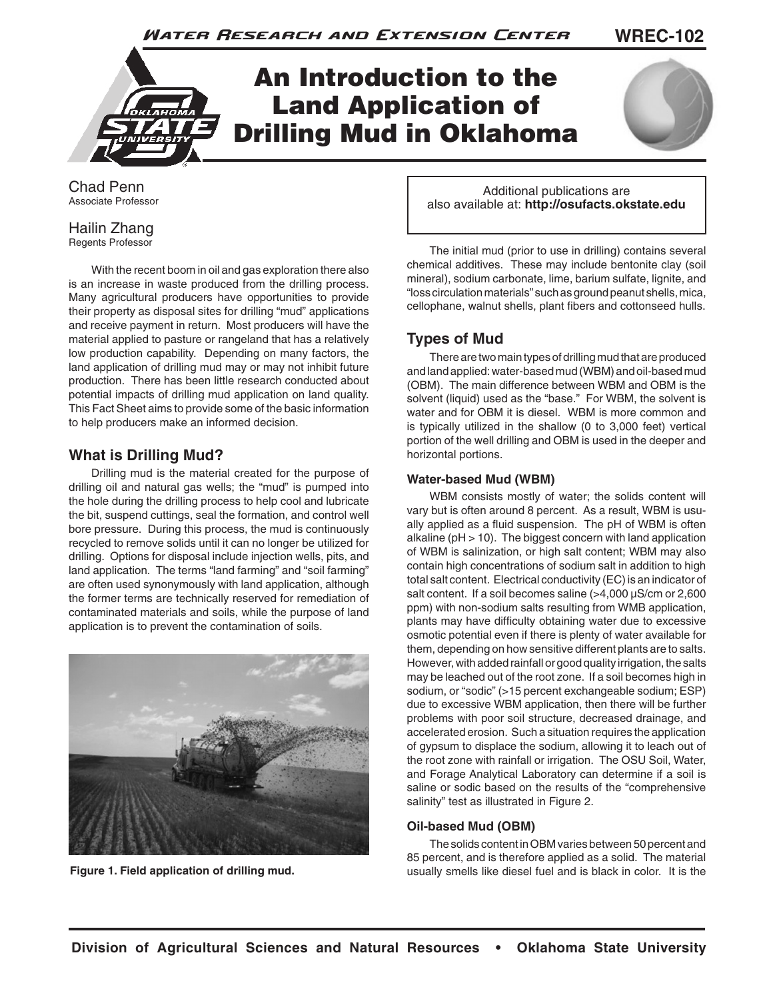Water Research and Extension Center

**WREC-102**



Chad Penn Associate Professor

#### Hailin Zhang Regents Professor

With the recent boom in oil and gas exploration there also is an increase in waste produced from the drilling process. Many agricultural producers have opportunities to provide their property as disposal sites for drilling "mud" applications and receive payment in return. Most producers will have the material applied to pasture or rangeland that has a relatively low production capability. Depending on many factors, the land application of drilling mud may or may not inhibit future production. There has been little research conducted about potential impacts of drilling mud application on land quality. This Fact Sheet aims to provide some of the basic information to help producers make an informed decision.

### **What is Drilling Mud?**

Drilling mud is the material created for the purpose of drilling oil and natural gas wells; the "mud" is pumped into the hole during the drilling process to help cool and lubricate the bit, suspend cuttings, seal the formation, and control well bore pressure. During this process, the mud is continuously recycled to remove solids until it can no longer be utilized for drilling. Options for disposal include injection wells, pits, and land application. The terms "land farming" and "soil farming" are often used synonymously with land application, although the former terms are technically reserved for remediation of contaminated materials and soils, while the purpose of land application is to prevent the contamination of soils.



Additional publications are also available at: **http://osufacts.okstate.edu**

The initial mud (prior to use in drilling) contains several chemical additives. These may include bentonite clay (soil mineral), sodium carbonate, lime, barium sulfate, lignite, and "loss circulation materials" such as ground peanut shells, mica, cellophane, walnut shells, plant fibers and cottonseed hulls.

## **Types of Mud**

There are two main types of drilling mud that are produced and land applied: water-based mud (WBM) and oil-based mud (OBM). The main difference between WBM and OBM is the solvent (liquid) used as the "base." For WBM, the solvent is water and for OBM it is diesel. WBM is more common and is typically utilized in the shallow (0 to 3,000 feet) vertical portion of the well drilling and OBM is used in the deeper and horizontal portions.

#### **Water-based Mud (WBM)**

WBM consists mostly of water; the solids content will vary but is often around 8 percent. As a result, WBM is usually applied as a fluid suspension. The pH of WBM is often alkaline (pH > 10). The biggest concern with land application of WBM is salinization, or high salt content; WBM may also contain high concentrations of sodium salt in addition to high total salt content. Electrical conductivity (EC) is an indicator of salt content. If a soil becomes saline (>4,000 µS/cm or 2,600 ppm) with non-sodium salts resulting from WMB application, plants may have difficulty obtaining water due to excessive osmotic potential even if there is plenty of water available for them, depending on how sensitive different plants are to salts. However, with added rainfall or good quality irrigation, the salts may be leached out of the root zone. If a soil becomes high in sodium, or "sodic" (>15 percent exchangeable sodium; ESP) due to excessive WBM application, then there will be further problems with poor soil structure, decreased drainage, and accelerated erosion. Such a situation requires the application of gypsum to displace the sodium, allowing it to leach out of the root zone with rainfall or irrigation. The OSU Soil, Water, and Forage Analytical Laboratory can determine if a soil is saline or sodic based on the results of the "comprehensive salinity" test as illustrated in Figure 2.

#### **Oil-based Mud (OBM)**

The solids content in OBM varies between 50 percent and 85 percent, and is therefore applied as a solid. The material **Figure 1. Field application of drilling mud.** The section of the usually smells like diesel fuel and is black in color. It is the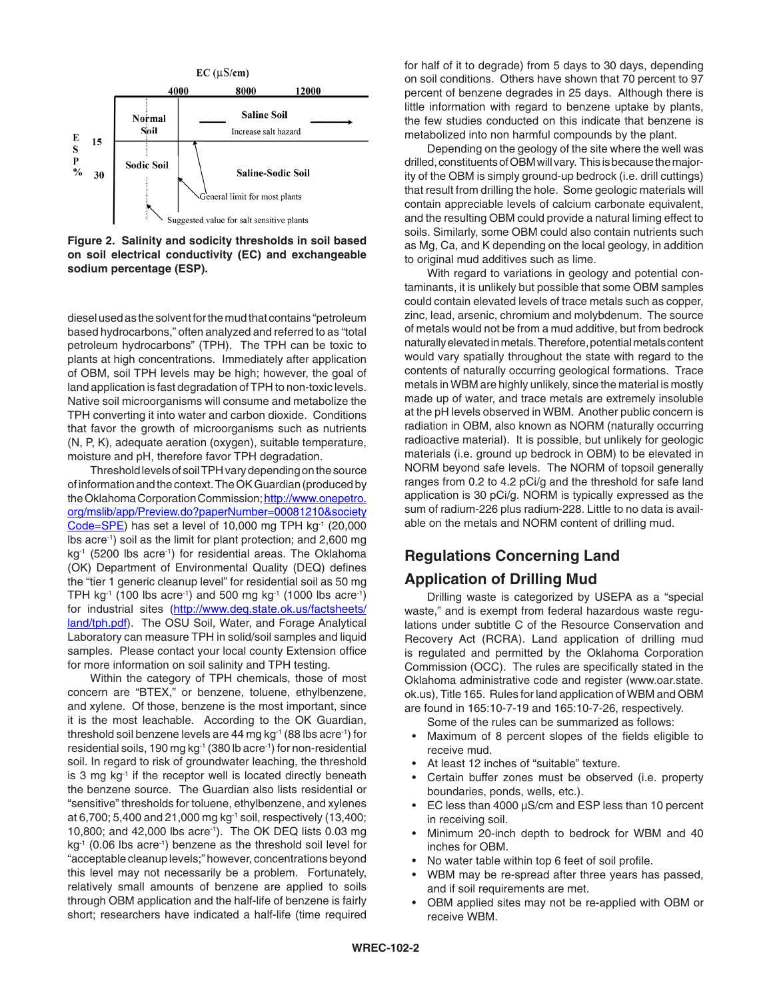

**Figure 2. Salinity and sodicity thresholds in soil based on soil electrical conductivity (EC) and exchangeable sodium percentage (ESP).**

diesel used as the solvent for the mud that contains "petroleum based hydrocarbons," often analyzed and referred to as "total petroleum hydrocarbons" (TPH). The TPH can be toxic to plants at high concentrations. Immediately after application of OBM, soil TPH levels may be high; however, the goal of land application is fast degradation of TPH to non-toxic levels. Native soil microorganisms will consume and metabolize the TPH converting it into water and carbon dioxide. Conditions that favor the growth of microorganisms such as nutrients (N, P, K), adequate aeration (oxygen), suitable temperature, moisture and pH, therefore favor TPH degradation.

Threshold levels of soil TPH vary depending on the source of information and the context. The OK Guardian (produced by the Oklahoma Corporation Commission; http://www.onepetro. org/mslib/app/Preview.do?paperNumber=00081210&society Code=SPE) has set a level of 10,000 mg TPH  $kg<sup>-1</sup>$  (20,000 lbs acre-1) soil as the limit for plant protection; and 2,600 mg kg<sup>-1</sup> (5200 lbs acre<sup>-1</sup>) for residential areas. The Oklahoma (OK) Department of Environmental Quality (DEQ) defines the "tier 1 generic cleanup level" for residential soil as 50 mg TPH kg<sup>-1</sup> (100 lbs acre<sup>-1</sup>) and 500 mg kg<sup>-1</sup> (1000 lbs acre<sup>-1</sup>) for industrial sites (http://www.deq.state.ok.us/factsheets/ land/tph.pdf). The OSU Soil, Water, and Forage Analytical Laboratory can measure TPH in solid/soil samples and liquid samples. Please contact your local county Extension office for more information on soil salinity and TPH testing.

Within the category of TPH chemicals, those of most concern are "BTEX," or benzene, toluene, ethylbenzene, and xylene. Of those, benzene is the most important, since it is the most leachable. According to the OK Guardian, threshold soil benzene levels are 44 mg kg<sup>-1</sup> (88 lbs acre<sup>-1</sup>) for residential soils, 190 mg kg<sup>-1</sup> (380 lb acre<sup>-1</sup>) for non-residential soil. In regard to risk of groundwater leaching, the threshold is  $3 \text{ mg}$  kg<sup>-1</sup> if the receptor well is located directly beneath the benzene source. The Guardian also lists residential or "sensitive" thresholds for toluene, ethylbenzene, and xylenes at 6,700; 5,400 and 21,000 mg kg-1 soil, respectively (13,400; 10,800; and 42,000 lbs acre-1). The OK DEQ lists 0.03 mg kg<sup>-1</sup> (0.06 lbs acre<sup>-1</sup>) benzene as the threshold soil level for "acceptable cleanup levels;" however, concentrations beyond this level may not necessarily be a problem. Fortunately, relatively small amounts of benzene are applied to soils through OBM application and the half-life of benzene is fairly short; researchers have indicated a half-life (time required for half of it to degrade) from 5 days to 30 days, depending on soil conditions. Others have shown that 70 percent to 97 percent of benzene degrades in 25 days. Although there is little information with regard to benzene uptake by plants, the few studies conducted on this indicate that benzene is metabolized into non harmful compounds by the plant.

Depending on the geology of the site where the well was drilled, constituents of OBM will vary. This is because the majority of the OBM is simply ground-up bedrock (i.e. drill cuttings) that result from drilling the hole. Some geologic materials will contain appreciable levels of calcium carbonate equivalent, and the resulting OBM could provide a natural liming effect to soils. Similarly, some OBM could also contain nutrients such as Mg, Ca, and K depending on the local geology, in addition to original mud additives such as lime.

With regard to variations in geology and potential contaminants, it is unlikely but possible that some OBM samples could contain elevated levels of trace metals such as copper, zinc, lead, arsenic, chromium and molybdenum. The source of metals would not be from a mud additive, but from bedrock naturally elevated in metals. Therefore, potential metals content would vary spatially throughout the state with regard to the contents of naturally occurring geological formations. Trace metals in WBM are highly unlikely, since the material is mostly made up of water, and trace metals are extremely insoluble at the pH levels observed in WBM. Another public concern is radiation in OBM, also known as NORM (naturally occurring radioactive material). It is possible, but unlikely for geologic materials (i.e. ground up bedrock in OBM) to be elevated in NORM beyond safe levels. The NORM of topsoil generally ranges from 0.2 to 4.2 pCi/g and the threshold for safe land application is 30 pCi/g. NORM is typically expressed as the sum of radium-226 plus radium-228. Little to no data is available on the metals and NORM content of drilling mud.

## **Regulations Concerning Land**

### **Application of Drilling Mud**

Drilling waste is categorized by USEPA as a "special waste," and is exempt from federal hazardous waste regulations under subtitle C of the Resource Conservation and Recovery Act (RCRA). Land application of drilling mud is regulated and permitted by the Oklahoma Corporation Commission (OCC). The rules are specifically stated in the Oklahoma administrative code and register (www.oar.state. ok.us), Title 165. Rules for land application of WBM and OBM are found in 165:10-7-19 and 165:10-7-26, respectively.

Some of the rules can be summarized as follows:

- Maximum of 8 percent slopes of the fields eligible to receive mud.
- At least 12 inches of "suitable" texture.
- Certain buffer zones must be observed (i.e. property boundaries, ponds, wells, etc.).
- EC less than 4000  $\mu$ S/cm and ESP less than 10 percent in receiving soil.
- Minimum 20-inch depth to bedrock for WBM and 40 inches for OBM.
- No water table within top 6 feet of soil profile.
- WBM may be re-spread after three years has passed, and if soil requirements are met.
- OBM applied sites may not be re-applied with OBM or receive WBM.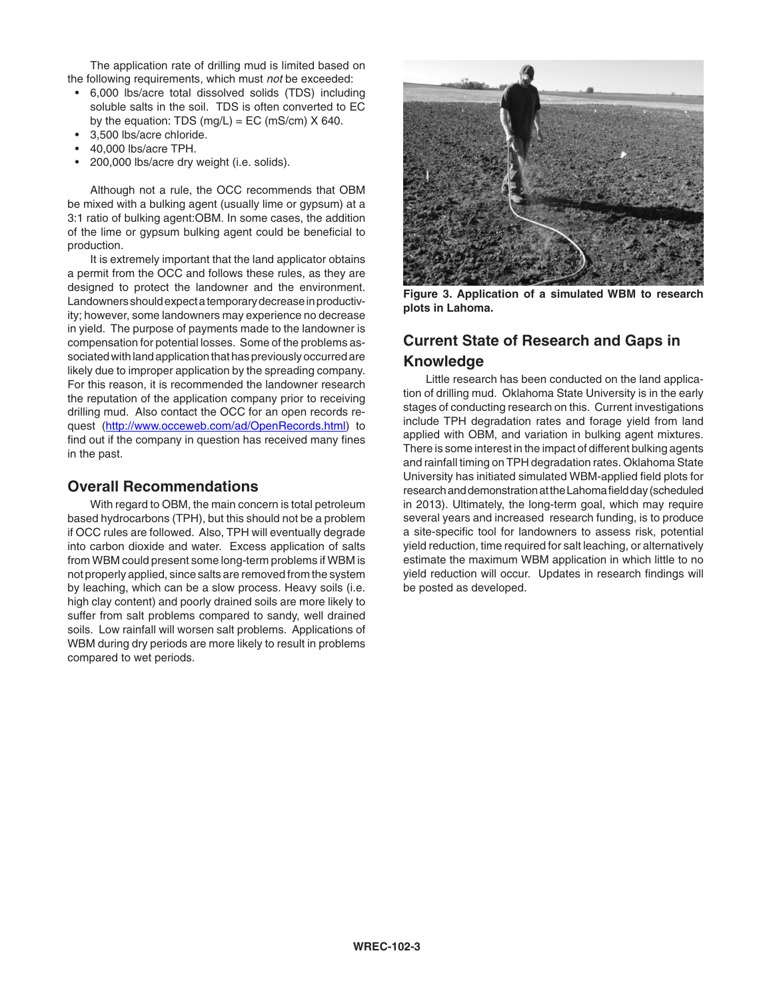The application rate of drilling mud is limited based on the following requirements, which must *not* be exceeded:

- • 6,000 lbs/acre total dissolved solids (TDS) including soluble salts in the soil. TDS is often converted to EC by the equation: TDS  $(mg/L) = EC(mS/cm)$  X 640.
- • 3,500 lbs/acre chloride.
- • 40,000 lbs/acre TPH.
- • 200,000 lbs/acre dry weight (i.e. solids).

Although not a rule, the OCC recommends that OBM be mixed with a bulking agent (usually lime or gypsum) at a 3:1 ratio of bulking agent:OBM. In some cases, the addition of the lime or gypsum bulking agent could be beneficial to production.

It is extremely important that the land applicator obtains a permit from the OCC and follows these rules, as they are designed to protect the landowner and the environment. Landowners should expect a temporary decrease in productivity; however, some landowners may experience no decrease in yield. The purpose of payments made to the landowner is compensation for potential losses. Some of the problems associated with land application that has previously occurred are likely due to improper application by the spreading company. For this reason, it is recommended the landowner research the reputation of the application company prior to receiving drilling mud. Also contact the OCC for an open records request (http://www.occeweb.com/ad/OpenRecords.html) to find out if the company in question has received many fines in the past.

#### **Overall Recommendations**

With regard to OBM, the main concern is total petroleum based hydrocarbons (TPH), but this should not be a problem if OCC rules are followed. Also, TPH will eventually degrade into carbon dioxide and water. Excess application of salts from WBM could present some long-term problems if WBM is not properly applied, since salts are removed from the system by leaching, which can be a slow process. Heavy soils (i.e. high clay content) and poorly drained soils are more likely to suffer from salt problems compared to sandy, well drained soils. Low rainfall will worsen salt problems. Applications of WBM during dry periods are more likely to result in problems compared to wet periods.



**Figure 3. Application of a simulated WBM to research plots in Lahoma.**

## **Current State of Research and Gaps in Knowledge**

Little research has been conducted on the land application of drilling mud. Oklahoma State University is in the early stages of conducting research on this. Current investigations include TPH degradation rates and forage yield from land applied with OBM, and variation in bulking agent mixtures. There is some interest in the impact of different bulking agents and rainfall timing on TPH degradation rates. Oklahoma State University has initiated simulated WBM-applied field plots for research and demonstration at the Lahoma field day (scheduled in 2013). Ultimately, the long-term goal, which may require several years and increased research funding, is to produce a site-specific tool for landowners to assess risk, potential yield reduction, time required for salt leaching, or alternatively estimate the maximum WBM application in which little to no yield reduction will occur. Updates in research findings will be posted as developed.